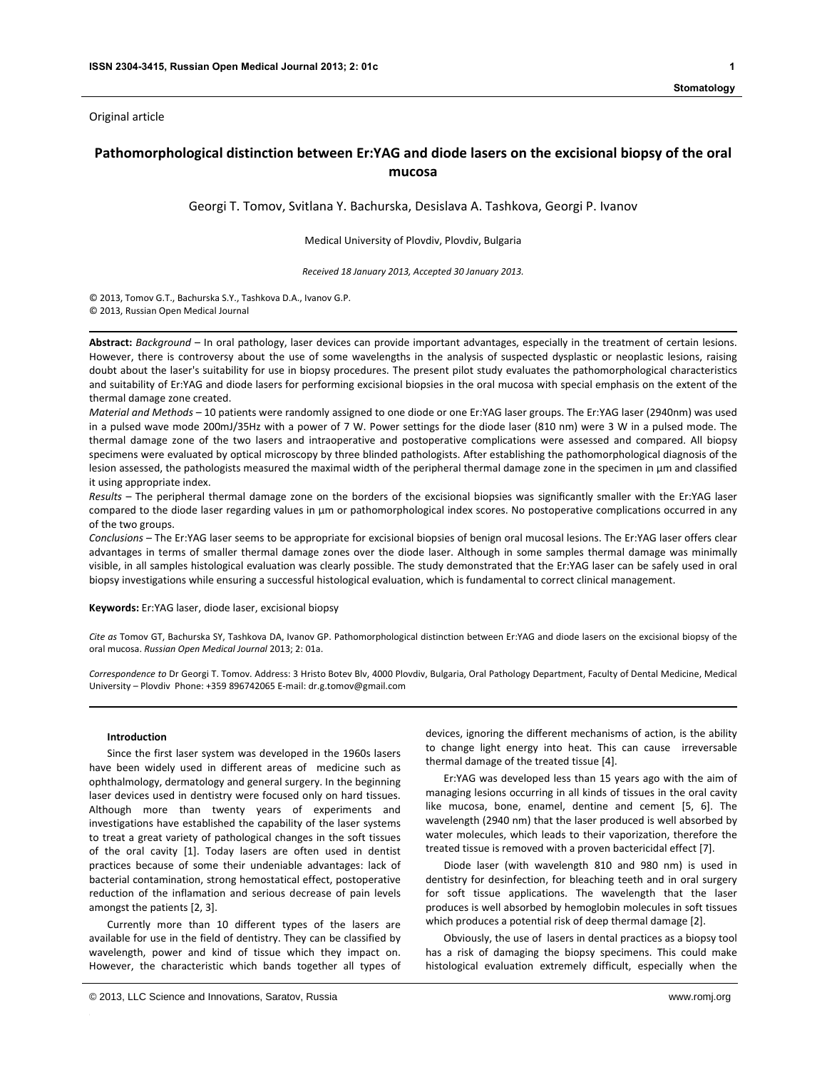Original article

# **Pathomorphological distinction between Er:YAG and diode lasers on the excisional biopsy of the oral mucosa**

Georgi T. Tomov, Svitlana Y. Bachurska, Desislava A. Tashkova, Georgi P. Ivanov

Medical University of Plovdiv, Plovdiv, Bulgaria

*Received 18 January 2013, Accepted 30 January 2013.*

© 2013, Tomov G.T., Bachurska S.Y., Tashkova D.A., Ivanov G.P.

© 2013, Russian Open Medical Journal

**Abstract:** *Background* – In oral pathology, laser devices can provide important advantages, especially in the treatment of certain lesions. However, there is controversy about the use of some wavelengths in the analysis of suspected dysplastic or neoplastic lesions, raising doubt about the laser's suitability for use in biopsy procedures. The present pilot study evaluates the pathomorphological characteristics and suitability of Er:YAG and diode lasers for performing excisional biopsies in the oral mucosa with special emphasis on the extent of the thermal damage zone created.

*Material and Methods* – 10 patients were randomly assigned to one diode or one Er:YAG laser groups. The Er:YAG laser (2940nm) was used in a pulsed wave mode 200mJ/35Hz with a power of 7 W. Power settings for the diode laser (810 nm) were 3 W in a pulsed mode. The thermal damage zone of the two lasers and intraoperative and postoperative complications were assessed and compared. All biopsy specimens were evaluated by optical microscopy by three blinded pathologists. After establishing the pathomorphological diagnosis of the lesion assessed, the pathologists measured the maximal width of the peripheral thermal damage zone in the specimen in μm and classified it using appropriate index.

*Results* – The peripheral thermal damage zone on the borders of the excisional biopsies was significantly smaller with the Er:YAG laser compared to the diode laser regarding values in μm or pathomorphological index scores. No postoperative complications occurred in any of the two groups.

*Conclusions* – The Er:YAG laser seems to be appropriate for excisional biopsies of benign oral mucosal lesions. The Er:YAG laser offers clear advantages in terms of smaller thermal damage zones over the diode laser. Although in some samples thermal damage was minimally visible, in all samples histological evaluation was clearly possible. The study demonstrated that the Er:YAG laser can be safely used in oral biopsy investigations while ensuring a successful histological evaluation, which is fundamental to correct clinical management.

**Keywords:** Er:YAG laser, diode laser, excisional biopsy

*Cite as* Tomov GT, Bachurska SY, Tashkova DA, Ivanov GP. Pathomorphological distinction between Er:YAG and diode lasers on the excisional biopsy of the oral mucosa. *Russian Open Medical Journal* 2013; 2: 01a.

*Correspondence to* Dr Georgi T. Tomov. Address: 3 Hristo Botev Blv, 4000 Plovdiv, Bulgaria, Oral Pathology Department, Faculty of Dental Medicine, Medical University – Plovdiv Phone: +359 896742065 E‐mail: dr.g.tomov@gmail.com

# **Introduction**

Since the first laser system was developed in the 1960s lasers have been widely used in different areas of medicine such as ophthalmology, dermatology and general surgery. In the beginning laser devices used in dentistry were focused only on hard tissues. Although more than twenty years of experiments and investigations have established the capability of the laser systems to treat a great variety of pathological changes in the soft tissues of the oral cavity [1]. Today lasers are often used in dentist practices because of some their undeniable advantages: lack of bacterial contamination, strong hemostatical effect, postoperative reduction of the inflamation and serious decrease of pain levels amongst the patients [2, 3].

Currently more than 10 different types of the lasers are available for use in the field of dentistry. They can be classified by wavelength, power and kind of tissue which they impact on. However, the characteristic which bands together all types of devices, ignoring the different mechanisms of action, is the ability to change light energy into heat. This can cause irreversable thermal damage of the treated tissue [4].

Er:YAG was developed less than 15 years ago with the aim of managing lesions occurring in all kinds of tissues in the oral cavity like mucosa, bone, enamel, dentine and cement [5, 6]. The wavelength (2940 nm) that the laser produced is well absorbed by water molecules, which leads to their vaporization, therefore the treated tissue is removed with a proven bactericidal effect [7].

Diode laser (with wavelength 810 and 980 nm) is used in dentistry for desinfection, for bleaching teeth and in oral surgery for soft tissue applications. The wavelength that the laser produces is well absorbed by hemoglobin molecules in soft tissues which produces a potential risk of deep thermal damage [2].

Obviously, the use of lasers in dental practices as a biopsy tool has a risk of damaging the biopsy specimens. This could make histological evaluation extremely difficult, especially when the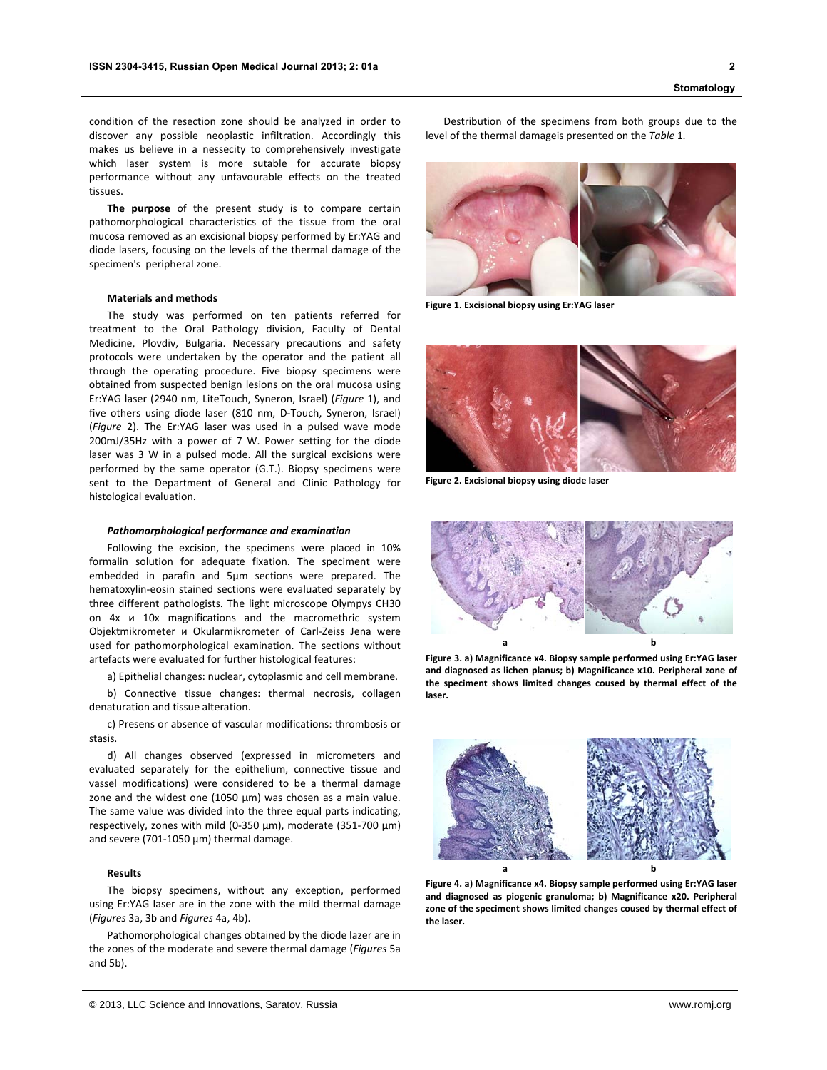condition of the resection zone should be analyzed in order to discover any possible neoplastic infiltration. Accordingly this makes us believe in a nessecity to comprehensively investigate which laser system is more sutable for accurate biopsy performance without any unfavourable effects on the treated tissues.

**The purpose** of the present study is to compare certain pathomorphological characteristics of the tissue from the oral mucosa removed as an excisional biopsy performed by Er:YAG and diode lasers, focusing on the levels of the thermal damage of the specimen's peripheral zone.

# **Materials and methods**

The study was performed on ten patients referred for treatment to the Oral Pathology division, Faculty of Dental Medicine, Plovdiv, Bulgaria. Necessary precautions and safety protocols were undertaken by the operator and the patient all through the operating procedure. Five biopsy specimens were obtained from suspected benign lesions on the oral mucosa using Er:YAG laser (2940 nm, LiteTouch, Syneron, Israel) (*Figure* 1), and five others using diode laser (810 nm, D-Touch, Syneron, Israel) (*Figure* 2). The Er:YAG laser was used in a pulsed wave mode 200mJ/35Hz with a power of 7 W. Power setting for the diode laser was 3 W in a pulsed mode. All the surgical excisions were performed by the same operator (G.T.). Biopsy specimens were sent to the Department of General and Clinic Pathology for histological evaluation.

#### *Pathomorphological performance and examination*

Following the excision, the specimens were placed in 10% formalin solution for adequate fixation. The speciment were embedded in parafin and 5µm sections were prepared. The hematoxylin‐eosin stained sections were evaluated separately by three different pathologists. The light microscope Olympys CH30 on 4х и 10x magnifications and the macromethric system Objektmikrometer и Okularmikrometer of Carl‐Zeiss Jena were used for pathomorphological examination. The sections without artefacts were evaluated for further histological features:

a) Epithelial changes: nuclear, cytoplasmic and cell membrane.

b) Connective tissue changes: thermal necrosis, collagen denaturation and tissue alteration.

c) Presens or absence of vascular modifications: thrombosis or stasis.

d) All changes observed (expressed in micrometers and evaluated separately for the epithelium, connective tissue and vassel modifications) were considered to be a thermal damage zone and the widest one (1050  $\mu$ m) was chosen as a main value. The same value was divided into the three equal parts indicating, respectively, zones with mild (0‐350 µm), moderate (351‐700 µm) and severe (701‐1050 µm) thermal damage.

### **Results**

The biopsy specimens, without any exception, performed using Er:YAG laser are in the zone with the mild thermal damage (*Figures* 3a, 3b and *Figures* 4a, 4b).

Pathomorphological changes obtained by the diode lazer are in the zones of the moderate and severe thermal damage (*Figures* 5a and 5b).

Destribution of the specimens from both groups due to the level of the thermal damageis presented on the *Table* 1.



**Figure 1. Excisional biopsy using Er:YAG laser**



**Figure 2. Excisional biopsy using diode laser**



**Figure 3. a) Magnificance x4. Biopsy sample performed using Er:YAG laser and diagnosed as lichen planus; b) Magnificance x10. Peripheral zone of the speciment shows limited changes coused by thermal effect of the laser.**



**Figure 4. a) Magnificance x4. Biopsy sample performed using Er:YAG laser and diagnosed as piogenic granuloma; b) Magnificance x20. Peripheral zone of the speciment shows limited changes coused by thermal effect of the laser.**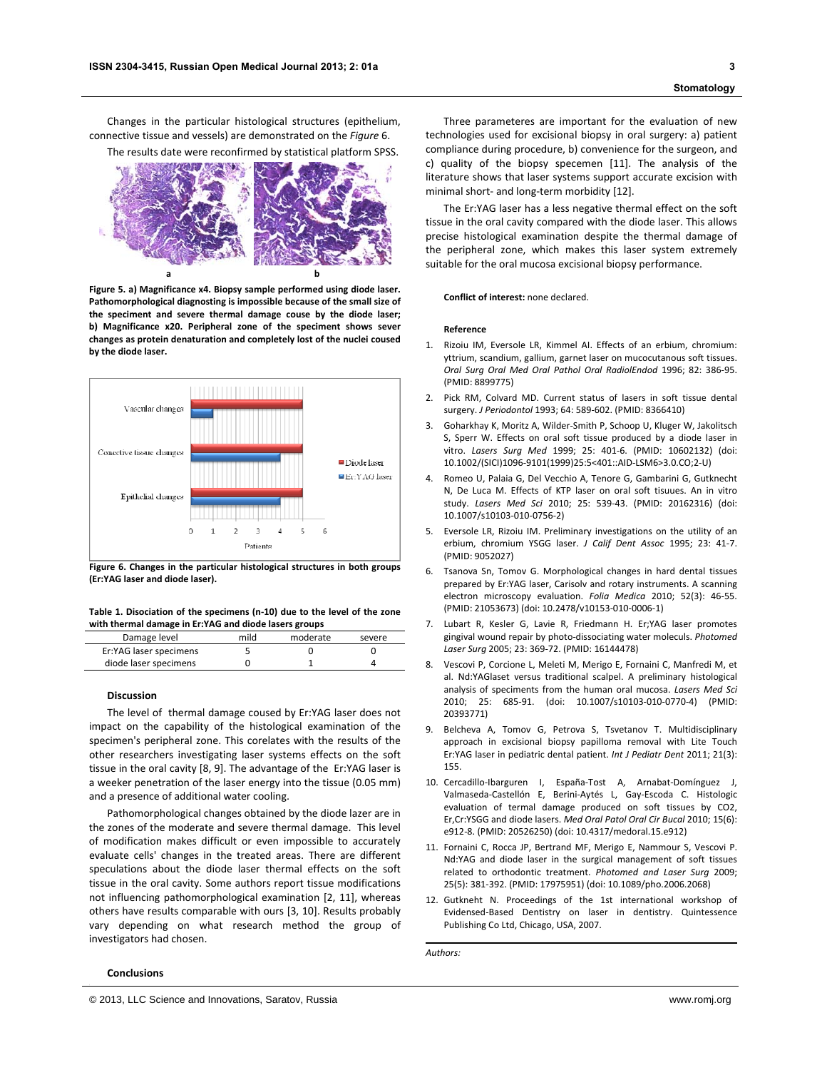Changes in the particular histological structures (epithelium, connective tissue and vessels) are demonstrated on the *Figure* 6.

The results date were reconfirmed by statistical platform SPSS.



**Figure 5. a) Magnificance x4. Biopsy sample performed using diode laser. Pathomorphological diagnosting is impossible because of the small size of the speciment and severe thermal damage couse by the diode laser; b) Magnificance x20. Peripheral zone of the speciment shows sever changes as protein denaturation and completely lost of the nuclei coused by the diode laser.**



**Figure 6. Changes in the particular histological structures in both groups (Er:YAG laser and diode laser).**

## **Table 1. Disociation of the specimens (n‐10) due to the level of the zone with thermal damage in Er:YAG and diode lasers groups**

| Damage level           | mild | moderate | severe |
|------------------------|------|----------|--------|
| Er:YAG laser specimens |      |          |        |
| diode laser specimens  |      |          |        |

#### **Discussion**

The level of thermal damage coused by Er:YAG laser does not impact on the capability of the histological examination of the specimen's peripheral zone. This corelates with the results of the other researchers investigating laser systems effects on the soft tissue in the oral cavity [8, 9]. The advantage of the Er:YAG laser is a weeker penetration of the laser energy into the tissue (0.05 mm) and a presence of additional water cooling.

Pathomorphological changes obtained by the diode lazer are in the zones of the moderate and severe thermal damage. This level of modification makes difficult or even impossible to accurately evaluate cells' changes in the treated areas. There are different speculations about the diode laser thermal effects on the soft tissue in the oral cavity. Some authors report tissue modifications not influencing pathomorphological examination [2, 11], whereas others have results comparable with ours [3, 10]. Results probably vary depending on what research method the group of investigators had chosen.

# **Conclusions**

Three parameteres are important for the evaluation of new technologies used for excisional biopsy in oral surgery: a) patient compliance during procedure, b) convenience for the surgeon, and c) quality of the biopsy specemen [11]. The analysis of the literature shows that laser systems support accurate excision with minimal short- and long-term morbidity [12].

The Er:YAG laser has a less negative thermal effect on the soft tissue in the oral cavity compared with the diode laser. This allows precise histological examination despite the thermal damage of the peripheral zone, which makes this laser system extremely suitable for the oral mucosa excisional biopsy performance.

**Conflict of interest:** none declared.

#### **Reference**

- 1. Rizoiu IM, Eversole LR, Kimmel AI. Effects of an erbium, chromium: yttrium, scandium, gallium, garnet laser on mucocutanous soft tissues. *Oral Surg Oral Med Oral Pathol Oral RadiolEndod* 1996; 82: 386‐95. (PMID: 8899775)
- 2. Pick RM, Colvard MD. Current status of lasers in soft tissue dental surgery. *J Periodontol* 1993; 64: 589‐602. (PMID: 8366410)
- 3. Goharkhay K, Moritz A, Wilder‐Smith P, Schoop U, Kluger W, Jakolitsch S, Sperr W. Effects on oral soft tissue produced by a diode laser in vitro. *Lasers Surg Med* 1999; 25: 401‐6. (PMID: 10602132) (doi: 10.1002/(SICI)1096‐9101(1999)25:5<401::AID‐LSM6>3.0.CO;2‐U)
- 4. Romeo U, Palaia G, Del Vecchio A, Tenore G, Gambarini G, Gutknecht N, De Luca M. Effects of KTP laser on oral soft tisuues. An in vitro study. *Lasers Med Sci* 2010; 25: 539‐43. (PMID: 20162316) (doi: 10.1007/s10103‐010‐0756‐2)
- 5. Eversole LR, Rizoiu IM. Preliminary investigations on the utility of an erbium, chromium YSGG laser. *J Calif Dent Assoc* 1995; 23: 41‐7. (PMID: 9052027)
- 6. Tsanova Sn, Tomov G. Morphological changes in hard dental tissues prepared by Er:YAG laser, Carisolv and rotary instruments. A scanning electron microscopy evaluation. *Folia Medica* 2010; 52(3): 46‐55. (PMID: 21053673) (doi: 10.2478/v10153‐010‐0006‐1)
- 7. Lubart R, Kesler G, Lavie R, Friedmann H. Er;YAG laser promotes gingival wound repair by photo‐dissociating water moleculs. *Photomed Laser Surg* 2005; 23: 369‐72. (PMID: 16144478)
- 8. Vescovi P, Corcione L, Meleti M, Merigo E, Fornaini C, Manfredi M, et al. Nd:YAGlaset versus traditional scalpel. A preliminary histological analysis of speciments from the human oral mucosa. *Lasers Med Sci* 2010; 25: 685‐91. (doi: 10.1007/s10103‐010‐0770‐4) (PMID: 20393771)
- 9. Belcheva A, Tomov G, Petrova S, Tsvetanov T. Multidisciplinary approach in excisional biopsy papilloma removal with Lite Touch Er:YAG laser in pediatric dental patient. *Int J Pediatr Dent* 2011; 21(3): 155.
- 10. Cercadillo-Ibarguren I, España-Tost A, Arnabat-Domínguez J, Valmaseda‐Castellón E, Berini‐Aytés L, Gay‐Escoda C. Histologic evaluation of termal damage produced on soft tissues by CO2, Er,Cr:YSGG and diode lasers. *Med Oral Patol Oral Cir Bucal* 2010; 15(6): e912‐8. (PMID: 20526250) (doi: 10.4317/medoral.15.e912)
- 11. Fornaini C, Rocca JP, Bertrand MF, Merigo E, Nammour S, Vescovi P. Nd:YAG and diode laser in the surgical management of soft tissues related to orthodontic treatment. *Photomed and Laser Surg* 2009; 25(5): 381‐392. (PMID: 17975951) (doi: 10.1089/pho.2006.2068)
- 12. Gutkneht N. Proceedings of the 1st international workshop of Evidensed‐Based Dentistry on laser in dentistry. Quintessence Publishing Co Ltd, Chicago, USA, 2007.

*Authors:*